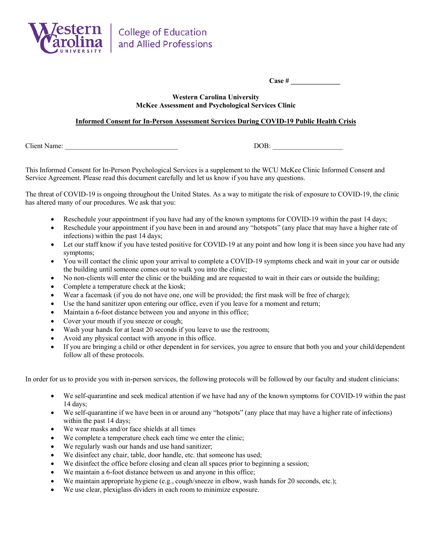

**Case # \_\_\_\_\_\_\_\_\_\_\_\_\_\_**

## **Western Carolina University McKee Assessment and Psychological Services Clinic**

## **Informed Consent for In-Person Assessment Services During COVID-19 Public Health Crisis**

Client Name:  $DOB:$ 

This Informed Consent for In-Person Psychological Services is a supplement to the WCU McKee Clinic Informed Consent and Service Agreement. Please read this document carefully and let us know if you have any questions.

The threat of COVID-19 is ongoing throughout the United States. As a way to mitigate the risk of exposure to COVID-19, the clinic has altered many of our procedures. We ask that you:

- Reschedule your appointment if you have had any of the known symptoms for COVID-19 within the past 14 days;
- Reschedule your appointment if you have been in and around any "hotspots" (any place that may have a higher rate of infections) within the past 14 days;
- Let our staff know if you have tested positive for COVID-19 at any point and how long it is been since you have had any symptoms;
- You will contact the clinic upon your arrival to complete a COVID-19 symptoms check and wait in your car or outside the building until someone comes out to walk you into the clinic;
- No non-clients will enter the clinic or the building and are requested to wait in their cars or outside the building;
- Complete a temperature check at the kiosk;
- Wear a facemask (if you do not have one, one will be provided; the first mask will be free of charge);
- Use the hand sanitizer upon entering our office, even if you leave for a moment and return;
- Maintain a 6-foot distance between you and anyone in this office;
- Cover your mouth if you sneeze or cough;
- Wash your hands for at least 20 seconds if you leave to use the restroom;
- Avoid any physical contact with anyone in this office.
- If you are bringing a child or other dependent in for services, you agree to ensure that both you and your child/dependent follow all of these protocols.

In order for us to provide you with in-person services, the following protocols will be followed by our faculty and student clinicians:

- We self-quarantine and seek medical attention if we have had any of the known symptoms for COVID-19 within the past 14 days;
- We self-quarantine if we have been in or around any "hotspots" (any place that may have a higher rate of infections) within the past 14 days;
- We wear masks and/or face shields at all times
- We complete a temperature check each time we enter the clinic;
- We regularly wash our hands and use hand sanitizer;
- We disinfect any chair, table, door handle, etc. that someone has used;
- We disinfect the office before closing and clean all spaces prior to beginning a session;
- We maintain a 6-foot distance between us and anyone in this office;
- We maintain appropriate hygiene (e.g., cough/sneeze in elbow, wash hands for 20 seconds, etc.);
- We use clear, plexiglass dividers in each room to minimize exposure.